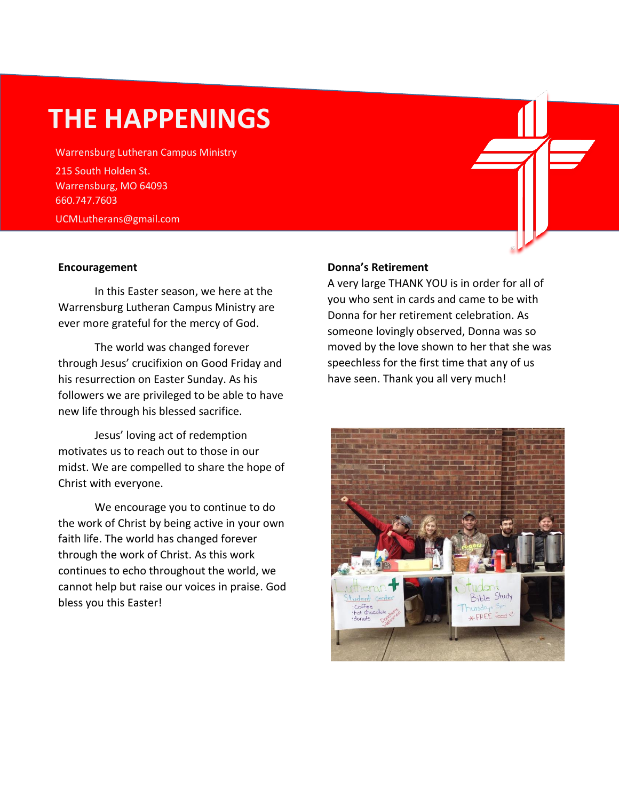# **THE HAPPENINGS**

Warrensburg Lutheran Campus Ministry 215 South Holden St. Warrensburg, MO 64093 660.747.7603 UCMLutherans@gmail.com

#### **Encouragement**

In this Easter season, we here at the Warrensburg Lutheran Campus Ministry are ever more grateful for the mercy of God.

The world was changed forever through Jesus' crucifixion on Good Friday and his resurrection on Easter Sunday. As his followers we are privileged to be able to have new life through his blessed sacrifice.

Jesus' loving act of redemption motivates us to reach out to those in our midst. We are compelled to share the hope of Christ with everyone.

We encourage you to continue to do the work of Christ by being active in your own faith life. The world has changed forever through the work of Christ. As this work continues to echo throughout the world, we cannot help but raise our voices in praise. God bless you this Easter!

## **Donna's Retirement**

A very large THANK YOU is in order for all of you who sent in cards and came to be with Donna for her retirement celebration. As someone lovingly observed, Donna was so moved by the love shown to her that she was speechless for the first time that any of us have seen. Thank you all very much!

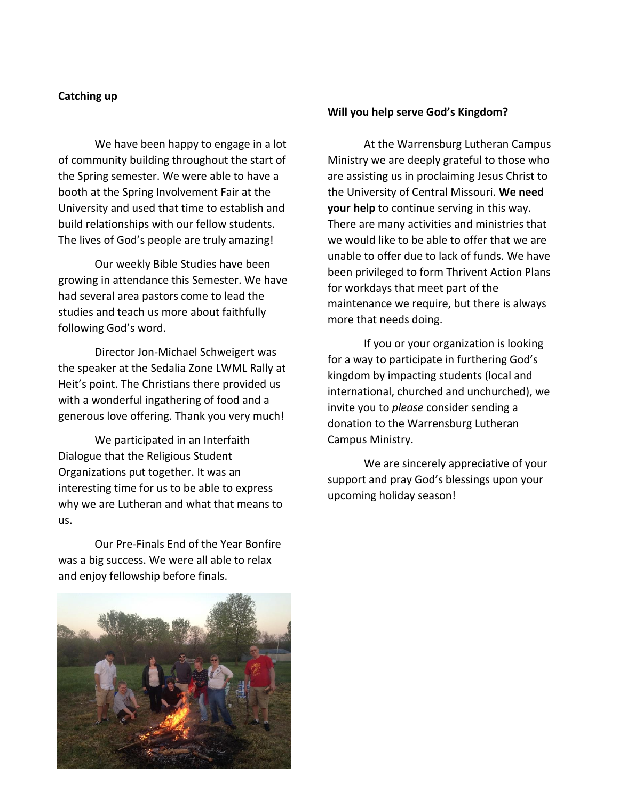#### **Catching up**

We have been happy to engage in a lot of community building throughout the start of the Spring semester. We were able to have a booth at the Spring Involvement Fair at the University and used that time to establish and build relationships with our fellow students. The lives of God's people are truly amazing!

Our weekly Bible Studies have been growing in attendance this Semester. We have had several area pastors come to lead the studies and teach us more about faithfully following God's word.

Director Jon-Michael Schweigert was the speaker at the Sedalia Zone LWML Rally at Heit's point. The Christians there provided us with a wonderful ingathering of food and a generous love offering. Thank you very much!

We participated in an Interfaith Dialogue that the Religious Student Organizations put together. It was an interesting time for us to be able to express why we are Lutheran and what that means to us.

Our Pre-Finals End of the Year Bonfire was a big success. We were all able to relax and enjoy fellowship before finals.



#### **Will you help serve God's Kingdom?**

At the Warrensburg Lutheran Campus Ministry we are deeply grateful to those who are assisting us in proclaiming Jesus Christ to the University of Central Missouri. **We need your help** to continue serving in this way. There are many activities and ministries that we would like to be able to offer that we are unable to offer due to lack of funds. We have been privileged to form Thrivent Action Plans for workdays that meet part of the maintenance we require, but there is always more that needs doing.

If you or your organization is looking for a way to participate in furthering God's kingdom by impacting students (local and international, churched and unchurched), we invite you to *please* consider sending a donation to the Warrensburg Lutheran Campus Ministry.

We are sincerely appreciative of your support and pray God's blessings upon your upcoming holiday season!